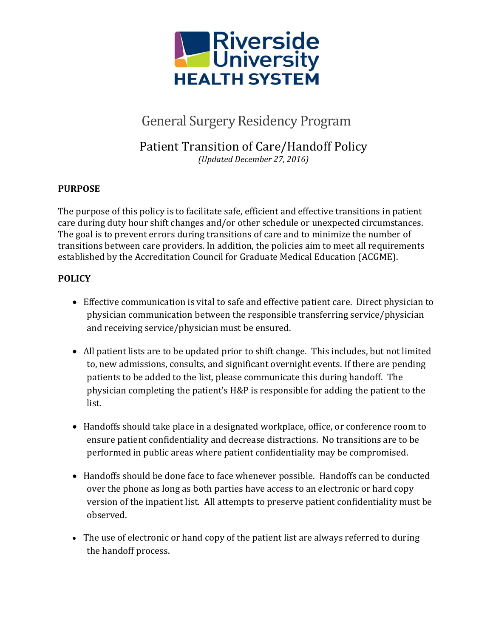

# General Surgery Residency Program

## Patient Transition of Care/Handoff Policy *(Updated December 27, 2016)*

### **PURPOSE**

The purpose of this policy is to facilitate safe, efficient and effective transitions in patient care during duty hour shift changes and/or other schedule or unexpected circumstances. The goal is to prevent errors during transitions of care and to minimize the number of transitions between care providers. In addition, the policies aim to meet all requirements established by the Accreditation Council for Graduate Medical Education (ACGME).

#### **POLICY**

- Effective communication is vital to safe and effective patient care. Direct physician to physician communication between the responsible transferring service/physician and receiving service/physician must be ensured.
- All patient lists are to be updated prior to shift change. This includes, but not limited to, new admissions, consults, and significant overnight events. If there are pending patients to be added to the list, please communicate this during handoff. The physician completing the patient's H&P is responsible for adding the patient to the list.
- Handoffs should take place in a designated workplace, office, or conference room to ensure patient confidentiality and decrease distractions. No transitions are to be performed in public areas where patient confidentiality may be compromised.
- Handoffs should be done face to face whenever possible. Handoffs can be conducted over the phone as long as both parties have access to an electronic or hard copy version of the inpatient list. All attempts to preserve patient confidentiality must be observed.
- The use of electronic or hand copy of the patient list are always referred to during the handoff process.